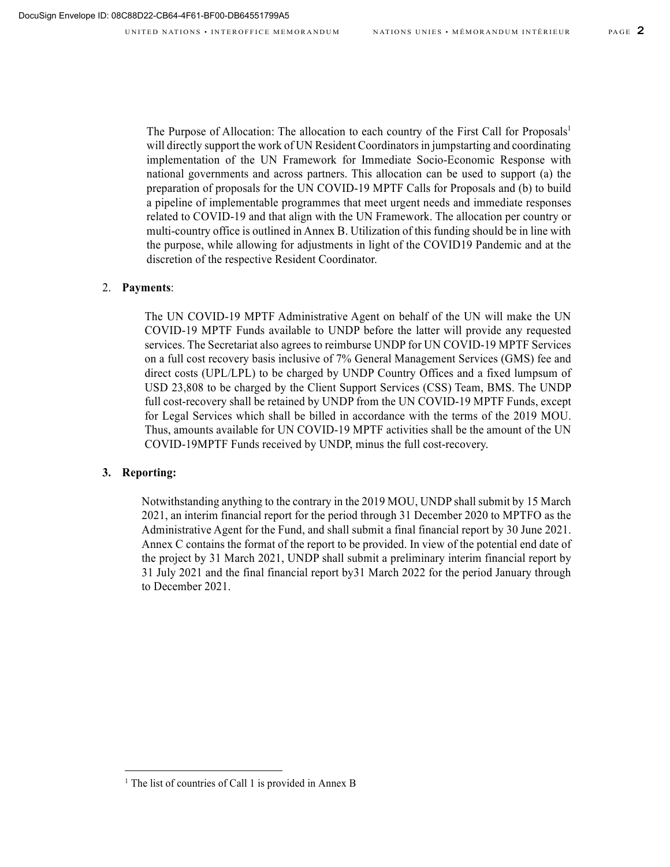The Purpose of Allocation: The allocation to each country of the First Call for Proposals<sup>1</sup> will directly support the work of UN Resident Coordinators in jumpstarting and coordinating implementation of the UN Framework for Immediate Socio-Economic Response with national governments and across partners. This allocation can be used to support (a) the preparation of proposals for the UN COVID-19 MPTF Calls for Proposals and (b) to build a pipeline of implementable programmes that meet urgent needs and immediate responses related to COVID-19 and that align with the UN Framework. The allocation per country or multi-country office is outlined in Annex B. Utilization of this funding should be in line with the purpose, while allowing for adjustments in light of the COVID19 Pandemic and at the discretion of the respective Resident Coordinator.

### 2. **Payments**:

The UN COVID-19 MPTF Administrative Agent on behalf of the UN will make the UN COVID-19 MPTF Funds available to UNDP before the latter will provide any requested services. The Secretariat also agrees to reimburse UNDP for UN COVID-19 MPTF Services on a full cost recovery basis inclusive of 7% General Management Services (GMS) fee and direct costs (UPL/LPL) to be charged by UNDP Country Offices and a fixed lumpsum of USD 23,808 to be charged by the Client Support Services (CSS) Team, BMS. The UNDP full cost-recovery shall be retained by UNDP from the UN COVID-19 MPTF Funds, except for Legal Services which shall be billed in accordance with the terms of the 2019 MOU. Thus, amounts available for UN COVID-19 MPTF activities shall be the amount of the UN COVID-19MPTF Funds received by UNDP, minus the full cost-recovery.

#### **3. Reporting:**

Notwithstanding anything to the contrary in the 2019 MOU, UNDP shall submit by 15 March 2021, an interim financial report for the period through 31 December 2020 to MPTFO as the Administrative Agent for the Fund, and shall submit a final financial report by 30 June 2021. Annex C contains the format of the report to be provided. In view of the potential end date of the project by 31 March 2021, UNDP shall submit a preliminary interim financial report by 31 July 2021 and the final financial report by31 March 2022 for the period January through to December 2021.

<sup>&</sup>lt;sup>1</sup> The list of countries of Call 1 is provided in Annex B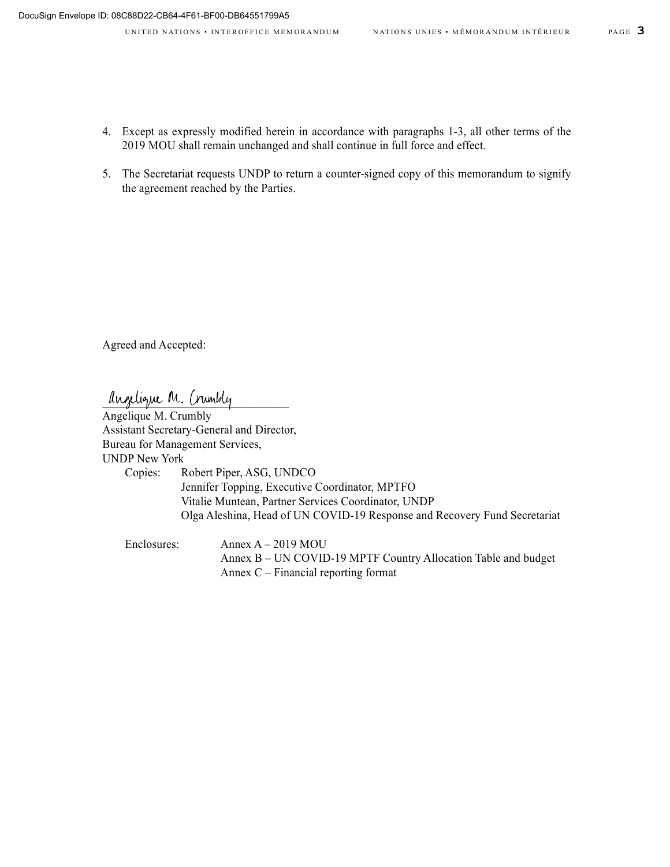- 4. Except as expressly modified herein in accordance with paragraphs 1-3, all other terms of the 2019 MOU shall remain unchanged and shall continue in full force and effect.
- 5. The Secretariat requests UNDP to return a counter-signed copy of this memorandum to signify the agreement reached by the Parties.

Agreed and Accepted:

anzelique M. Crumbly

Angelique M. Crumbly Assistant Secretary-General and Director, Bureau for Management Services, UNDP New York Copies: Robert Piper, ASG, UNDCO Jennifer Topping, Executive Coordinator, MPTFO Vitalie Muntean, Partner Services Coordinator, UNDP Olga Aleshina, Head of UN COVID-19 Response and Recovery Fund Secretariat

Enclosures: Annex A – 2019 MOU Annex B – UN COVID-19 MPTF Country Allocation Table and budget Annex C – Financial reporting format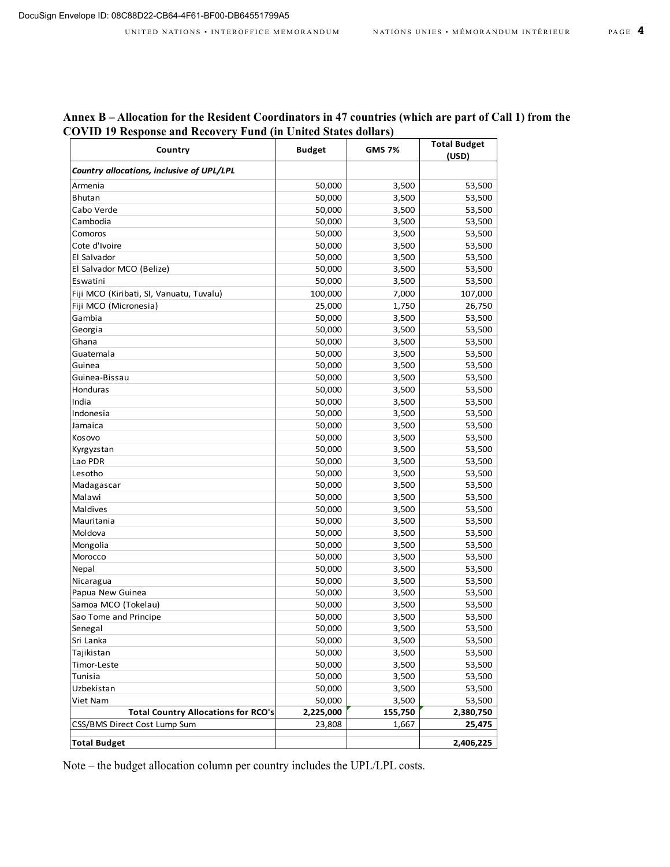| Annex B – Allocation for the Resident Coordinators in 47 countries (which are part of Call 1) from the |  |  |
|--------------------------------------------------------------------------------------------------------|--|--|
| <b>COVID 19 Response and Recovery Fund (in United States dollars)</b>                                  |  |  |
|                                                                                                        |  |  |

| Country                                    | <b>Budget</b> | <b>GMS 7%</b> | <b>Total Budget</b><br>(USD) |
|--------------------------------------------|---------------|---------------|------------------------------|
| Country allocations, inclusive of UPL/LPL  |               |               |                              |
| Armenia                                    | 50,000        | 3,500         | 53,500                       |
| Bhutan                                     | 50,000        | 3,500         | 53,500                       |
| Cabo Verde                                 | 50,000        | 3,500         | 53,500                       |
| Cambodia                                   | 50,000        | 3,500         | 53,500                       |
| Comoros                                    | 50,000        | 3,500         | 53,500                       |
| Cote d'Ivoire                              | 50,000        | 3,500         | 53,500                       |
| El Salvador                                | 50,000        | 3,500         | 53,500                       |
| El Salvador MCO (Belize)                   | 50,000        | 3,500         | 53,500                       |
| Eswatini                                   | 50,000        | 3,500         | 53,500                       |
| Fiji MCO (Kiribati, SI, Vanuatu, Tuvalu)   | 100,000       | 7,000         | 107,000                      |
| Fiji MCO (Micronesia)                      | 25,000        | 1,750         | 26,750                       |
| Gambia                                     | 50,000        | 3,500         | 53,500                       |
| Georgia                                    | 50,000        | 3,500         | 53,500                       |
| Ghana                                      | 50,000        | 3,500         | 53,500                       |
| Guatemala                                  | 50,000        | 3,500         | 53,500                       |
| Guinea                                     | 50,000        | 3,500         | 53,500                       |
| Guinea-Bissau                              | 50,000        | 3,500         | 53,500                       |
| Honduras                                   | 50,000        | 3,500         | 53,500                       |
| India                                      | 50,000        | 3,500         | 53,500                       |
| Indonesia                                  | 50,000        | 3,500         | 53,500                       |
| Jamaica                                    | 50,000        | 3,500         | 53,500                       |
| Kosovo                                     | 50,000        | 3,500         | 53,500                       |
| Kyrgyzstan                                 | 50,000        | 3,500         | 53,500                       |
| Lao PDR                                    | 50,000        | 3,500         | 53,500                       |
| Lesotho                                    | 50,000        | 3,500         | 53,500                       |
| Madagascar                                 | 50,000        | 3,500         | 53,500                       |
| Malawi                                     | 50,000        | 3,500         | 53,500                       |
| Maldives                                   | 50,000        | 3,500         | 53,500                       |
| Mauritania                                 | 50,000        | 3,500         | 53,500                       |
| Moldova                                    | 50,000        | 3,500         | 53,500                       |
| Mongolia                                   | 50,000        | 3,500         | 53,500                       |
| Morocco                                    | 50,000        | 3,500         | 53,500                       |
| Nepal                                      | 50,000        | 3,500         | 53,500                       |
| Nicaragua                                  | 50,000        | 3,500         | 53,500                       |
| Papua New Guinea                           | 50,000        | 3,500         | 53,500                       |
| Samoa MCO (Tokelau)                        | 50,000        | 3,500         | 53,500                       |
| Sao Tome and Principe                      | 50,000        | 3,500         | 53,500                       |
| Senegal                                    | 50,000        | 3,500         | 53,500                       |
| Sri Lanka                                  | 50,000        | 3,500         | 53,500                       |
| Tajikistan                                 | 50,000        | 3,500         | 53,500                       |
| Timor-Leste                                | 50,000        | 3,500         | 53,500                       |
| Tunisia                                    | 50,000        | 3,500         | 53,500                       |
| Uzbekistan                                 | 50,000        | 3,500         | 53,500                       |
| Viet Nam                                   | 50,000        | 3,500         | 53,500                       |
| <b>Total Country Allocations for RCO's</b> | 2,225,000     | 155,750       | 2,380,750                    |
| CSS/BMS Direct Cost Lump Sum               | 23,808        | 1,667         | 25,475                       |
| <b>Total Budget</b>                        |               |               | 2,406,225                    |

Note – the budget allocation column per country includes the UPL/LPL costs.